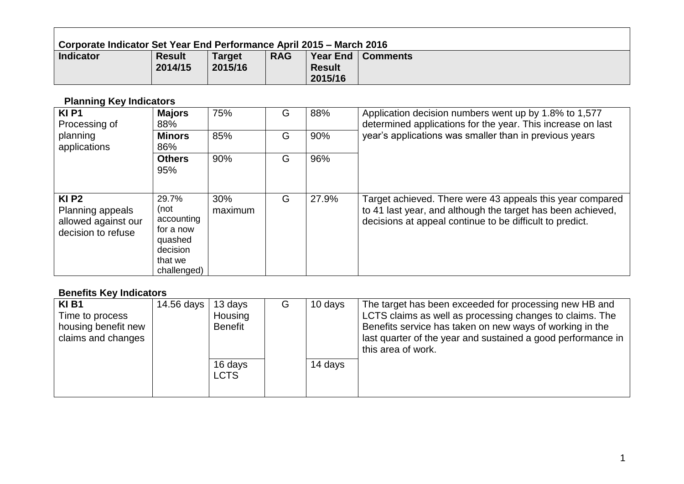| <b>Corporate Indicator Set Year End Performance April 2015 – March 2016</b> |                          |                          |            |                          |                     |  |  |  |  |
|-----------------------------------------------------------------------------|--------------------------|--------------------------|------------|--------------------------|---------------------|--|--|--|--|
| <b>Indicator</b>                                                            | <b>Result</b><br>2014/15 | <b>Target</b><br>2015/16 | <b>RAG</b> | <b>Result</b><br>2015/16 | Year End   Comments |  |  |  |  |

# **Planning Key Indicators**

 $\blacksquare$ 

| <b>KIP1</b><br>Processing of                                                         | <b>Majors</b><br>88%                                                                      | 75%            | G | 88%   | Application decision numbers went up by 1.8% to 1,577<br>determined applications for the year. This increase on last                                                                 |
|--------------------------------------------------------------------------------------|-------------------------------------------------------------------------------------------|----------------|---|-------|--------------------------------------------------------------------------------------------------------------------------------------------------------------------------------------|
| planning<br>applications                                                             | <b>Minors</b><br>86%                                                                      | 85%            | G | 90%   | year's applications was smaller than in previous years                                                                                                                               |
|                                                                                      | <b>Others</b><br>95%                                                                      | 90%            | G | 96%   |                                                                                                                                                                                      |
| $KI$ P <sub>2</sub><br>Planning appeals<br>allowed against our<br>decision to refuse | 29.7%<br>(not<br>accounting<br>for a now<br>quashed<br>decision<br>that we<br>challenged) | 30%<br>maximum | G | 27.9% | Target achieved. There were 43 appeals this year compared<br>to 41 last year, and although the target has been achieved,<br>decisions at appeal continue to be difficult to predict. |

# **Benefits Key Indicators**

| KI B1<br>Time to process<br>housing benefit new<br>claims and changes | 14.56 days | 13 days<br>Housing<br>Benefit | G | 10 days | The target has been exceeded for processing new HB and<br>LCTS claims as well as processing changes to claims. The<br>Benefits service has taken on new ways of working in the<br>last quarter of the year and sustained a good performance in<br>this area of work. |
|-----------------------------------------------------------------------|------------|-------------------------------|---|---------|----------------------------------------------------------------------------------------------------------------------------------------------------------------------------------------------------------------------------------------------------------------------|
|                                                                       |            | 16 days<br><b>LCTS</b>        |   | 14 days |                                                                                                                                                                                                                                                                      |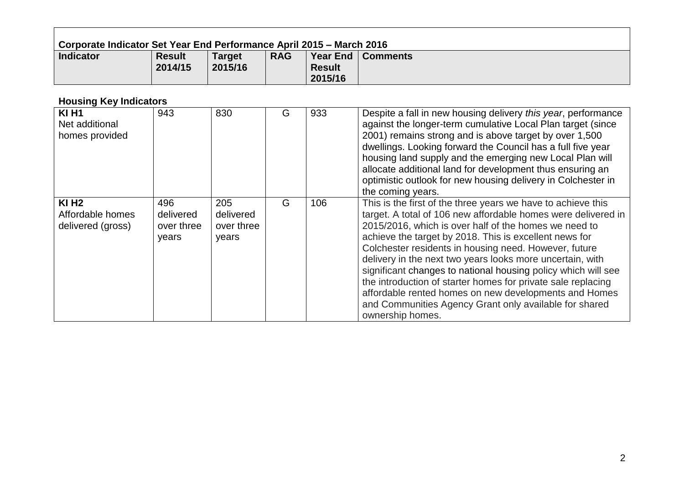| Corporate Indicator Set Year End Performance April 2015 – March 2016 |                          |                          |            |                          |                     |  |  |  |  |
|----------------------------------------------------------------------|--------------------------|--------------------------|------------|--------------------------|---------------------|--|--|--|--|
| <b>Indicator</b>                                                     | <b>Result</b><br>2014/15 | <b>Target</b><br>2015/16 | <b>RAG</b> | <b>Result</b><br>2015/16 | Year End   Comments |  |  |  |  |

## **Housing Key Indicators**

 $\blacksquare$ 

| <b>KI H1</b><br>Net additional<br>homes provided      | 943                                     | 830                                     | G | 933 | Despite a fall in new housing delivery this year, performance<br>against the longer-term cumulative Local Plan target (since<br>2001) remains strong and is above target by over 1,500<br>dwellings. Looking forward the Council has a full five year<br>housing land supply and the emerging new Local Plan will<br>allocate additional land for development thus ensuring an<br>optimistic outlook for new housing delivery in Colchester in<br>the coming years.                                                                                                                                                                            |
|-------------------------------------------------------|-----------------------------------------|-----------------------------------------|---|-----|------------------------------------------------------------------------------------------------------------------------------------------------------------------------------------------------------------------------------------------------------------------------------------------------------------------------------------------------------------------------------------------------------------------------------------------------------------------------------------------------------------------------------------------------------------------------------------------------------------------------------------------------|
| <b>KI H2</b><br>Affordable homes<br>delivered (gross) | 496<br>delivered<br>over three<br>years | 205<br>delivered<br>over three<br>years | G | 106 | This is the first of the three years we have to achieve this<br>target. A total of 106 new affordable homes were delivered in<br>2015/2016, which is over half of the homes we need to<br>achieve the target by 2018. This is excellent news for<br>Colchester residents in housing need. However, future<br>delivery in the next two years looks more uncertain, with<br>significant changes to national housing policy which will see<br>the introduction of starter homes for private sale replacing<br>affordable rented homes on new developments and Homes<br>and Communities Agency Grant only available for shared<br>ownership homes. |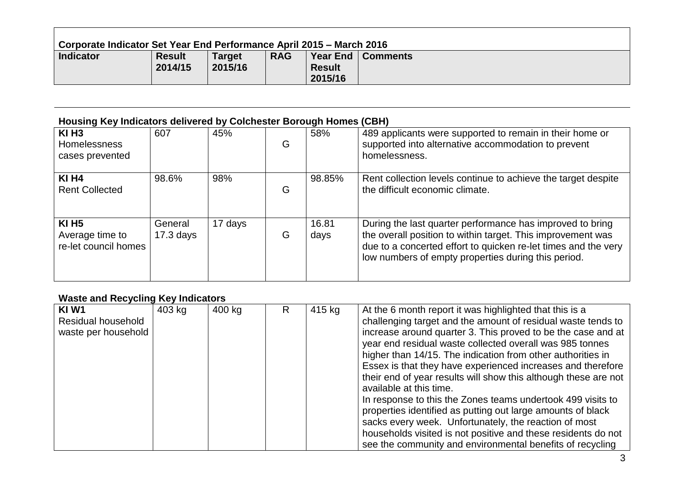| Corporate Indicator Set Year End Performance April 2015 – March 2016 |                          |                          |            |                          |                     |  |  |  |  |
|----------------------------------------------------------------------|--------------------------|--------------------------|------------|--------------------------|---------------------|--|--|--|--|
| <b>Indicator</b>                                                     | <b>Result</b><br>2014/15 | <b>Target</b><br>2015/16 | <b>RAG</b> | <b>Result</b><br>2015/16 | Year End   Comments |  |  |  |  |

<u> 1989 - Johann Stoff, deutscher Stoffen und der Stoffen und der Stoffen und der Stoffen und der Stoffen und der</u>

#### **Housing Key Indicators delivered by Colchester Borough Homes (CBH)**

| KI H <sub>3</sub><br>Homelessness<br>cases prevented    | 607                    | 45%     | G | 58%           | 489 applicants were supported to remain in their home or<br>supported into alternative accommodation to prevent<br>homelessness.                                                                                                                  |
|---------------------------------------------------------|------------------------|---------|---|---------------|---------------------------------------------------------------------------------------------------------------------------------------------------------------------------------------------------------------------------------------------------|
| <b>KI H4</b><br><b>Rent Collected</b>                   | 98.6%                  | 98%     | G | 98.85%        | Rent collection levels continue to achieve the target despite<br>the difficult economic climate.                                                                                                                                                  |
| <b>KI H5</b><br>Average time to<br>re-let council homes | General<br>$17.3$ days | 17 days | G | 16.81<br>days | During the last quarter performance has improved to bring<br>the overall position to within target. This improvement was<br>due to a concerted effort to quicken re-let times and the very<br>low numbers of empty properties during this period. |

## **Waste and Recycling Key Indicators**

| KIW1                | 403 kg | 400 kg | R | 415 kg | At the 6 month report it was highlighted that this is a         |
|---------------------|--------|--------|---|--------|-----------------------------------------------------------------|
| Residual household  |        |        |   |        | challenging target and the amount of residual waste tends to    |
| waste per household |        |        |   |        | increase around quarter 3. This proved to be the case and at    |
|                     |        |        |   |        | year end residual waste collected overall was 985 tonnes        |
|                     |        |        |   |        | higher than 14/15. The indication from other authorities in     |
|                     |        |        |   |        | Essex is that they have experienced increases and therefore     |
|                     |        |        |   |        | their end of year results will show this although these are not |
|                     |        |        |   |        | available at this time.                                         |
|                     |        |        |   |        | In response to this the Zones teams undertook 499 visits to     |
|                     |        |        |   |        | properties identified as putting out large amounts of black     |
|                     |        |        |   |        | sacks every week. Unfortunately, the reaction of most           |
|                     |        |        |   |        | households visited is not positive and these residents do not   |
|                     |        |        |   |        | see the community and environmental benefits of recycling       |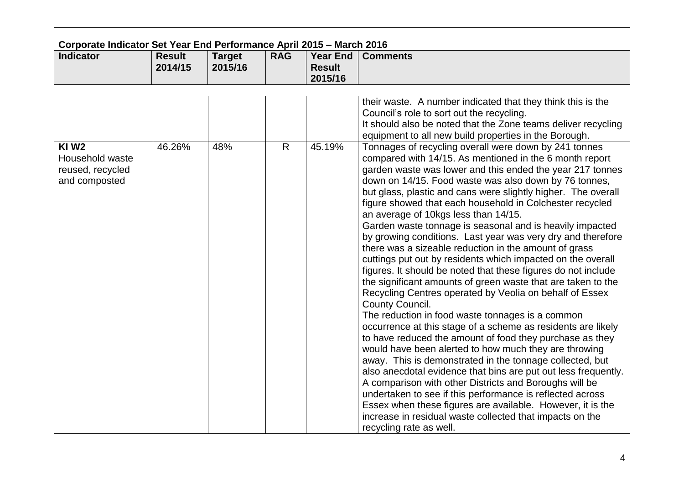| Corporate Indicator Set Year End Performance April 2015 - March 2016<br><b>Indicator</b> | <b>Result</b> | <b>Target</b> | <b>RAG</b>   | <b>Year End</b>          | <b>Comments</b>                                                                                                                                                                                                                                                                                                                                                                                                                                                                                                                                                                                                                                                                                                                                                                                                                                                                                                                                                                                                                                                                                                                                                                                                                                                                                                                                                                                                                                                                                                                  |
|------------------------------------------------------------------------------------------|---------------|---------------|--------------|--------------------------|----------------------------------------------------------------------------------------------------------------------------------------------------------------------------------------------------------------------------------------------------------------------------------------------------------------------------------------------------------------------------------------------------------------------------------------------------------------------------------------------------------------------------------------------------------------------------------------------------------------------------------------------------------------------------------------------------------------------------------------------------------------------------------------------------------------------------------------------------------------------------------------------------------------------------------------------------------------------------------------------------------------------------------------------------------------------------------------------------------------------------------------------------------------------------------------------------------------------------------------------------------------------------------------------------------------------------------------------------------------------------------------------------------------------------------------------------------------------------------------------------------------------------------|
|                                                                                          | 2014/15       | 2015/16       |              | <b>Result</b><br>2015/16 |                                                                                                                                                                                                                                                                                                                                                                                                                                                                                                                                                                                                                                                                                                                                                                                                                                                                                                                                                                                                                                                                                                                                                                                                                                                                                                                                                                                                                                                                                                                                  |
|                                                                                          |               |               |              |                          |                                                                                                                                                                                                                                                                                                                                                                                                                                                                                                                                                                                                                                                                                                                                                                                                                                                                                                                                                                                                                                                                                                                                                                                                                                                                                                                                                                                                                                                                                                                                  |
|                                                                                          |               |               |              |                          | their waste. A number indicated that they think this is the<br>Council's role to sort out the recycling.<br>It should also be noted that the Zone teams deliver recycling<br>equipment to all new build properties in the Borough.                                                                                                                                                                                                                                                                                                                                                                                                                                                                                                                                                                                                                                                                                                                                                                                                                                                                                                                                                                                                                                                                                                                                                                                                                                                                                               |
| <b>KIW2</b><br>Household waste<br>reused, recycled<br>and composted                      | 46.26%        | 48%           | $\mathsf{R}$ | 45.19%                   | Tonnages of recycling overall were down by 241 tonnes<br>compared with 14/15. As mentioned in the 6 month report<br>garden waste was lower and this ended the year 217 tonnes<br>down on 14/15. Food waste was also down by 76 tonnes,<br>but glass, plastic and cans were slightly higher. The overall<br>figure showed that each household in Colchester recycled<br>an average of 10kgs less than 14/15.<br>Garden waste tonnage is seasonal and is heavily impacted<br>by growing conditions. Last year was very dry and therefore<br>there was a sizeable reduction in the amount of grass<br>cuttings put out by residents which impacted on the overall<br>figures. It should be noted that these figures do not include<br>the significant amounts of green waste that are taken to the<br>Recycling Centres operated by Veolia on behalf of Essex<br>County Council.<br>The reduction in food waste tonnages is a common<br>occurrence at this stage of a scheme as residents are likely<br>to have reduced the amount of food they purchase as they<br>would have been alerted to how much they are throwing<br>away. This is demonstrated in the tonnage collected, but<br>also anecdotal evidence that bins are put out less frequently.<br>A comparison with other Districts and Boroughs will be<br>undertaken to see if this performance is reflected across<br>Essex when these figures are available. However, it is the<br>increase in residual waste collected that impacts on the<br>recycling rate as well. |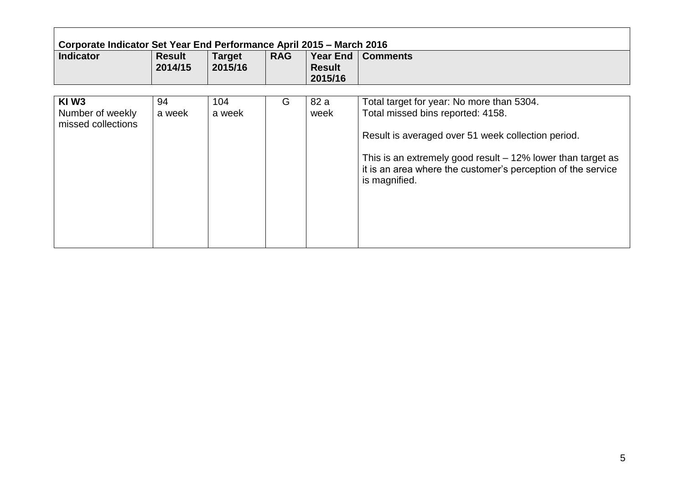| <b>Indicator</b>                                           | <b>Result</b><br>2014/15 | <b>Target</b><br>2015/16 | <b>RAG</b> | Year End  <br><b>Result</b><br>2015/16 | <b>Comments</b>                                                                                                                                                                                                                                                                        |
|------------------------------------------------------------|--------------------------|--------------------------|------------|----------------------------------------|----------------------------------------------------------------------------------------------------------------------------------------------------------------------------------------------------------------------------------------------------------------------------------------|
| KIW <sub>3</sub><br>Number of weekly<br>missed collections | 94<br>a week             | 104<br>a week            | G          | 82 a<br>week                           | Total target for year: No more than 5304.<br>Total missed bins reported: 4158.<br>Result is averaged over 51 week collection period.<br>This is an extremely good result $-12\%$ lower than target as<br>it is an area where the customer's perception of the service<br>is magnified. |